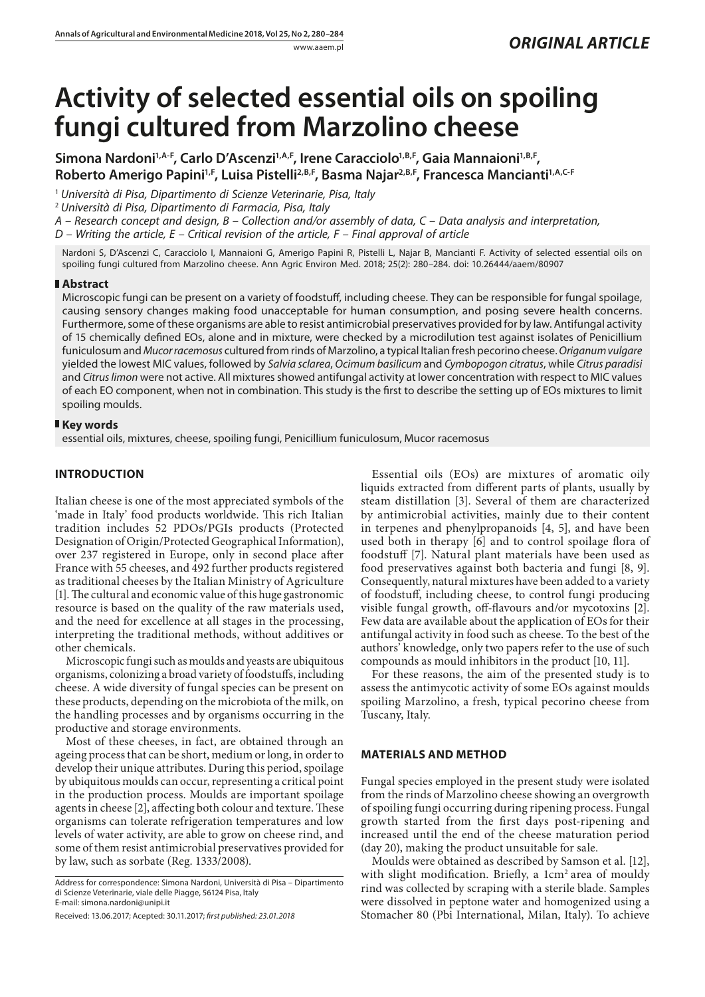# **Activity of selected essential oils on spoiling fungi cultured from Marzolino cheese**

Simona Nardoni<sup>1,A-F</sup>, Carlo D'Ascenzi<sup>1,A,F</sup>, Irene Caracciolo<sup>1,B,F</sup>, Gaia Mannaioni<sup>1,B,F</sup>, Roberto Amerigo Papini<sup>1,F</sup>, Luisa Pistelli<sup>2,B,F</sup>, Basma Najar<sup>2,B,F</sup>, Francesca Mancianti<sup>1,A,C-F</sup>

<sup>1</sup> *Università di Pisa, Dipartimento di Scienze Veterinarie, Pisa, Italy*

<sup>2</sup> *Università di Pisa, Dipartimento di Farmacia, Pisa, Italy*

*A – Research concept and design, B – Collection and/or assembly of data, C – Data analysis and interpretation,* 

*D – Writing the article, E – Critical revision of the article, F – Final approval of article*

Nardoni S, D'Ascenzi C, Caracciolo I, Mannaioni G, Amerigo Papini R, Pistelli L, Najar B, Mancianti F. Activity of selected essential oils on spoiling fungi cultured from Marzolino cheese. Ann Agric Environ Med. 2018; 25(2): 280–284. doi: 10.26444/aaem/80907

# **Abstract**

Microscopic fungi can be present on a variety of foodstuff, including cheese. They can be responsible for fungal spoilage, causing sensory changes making food unacceptable for human consumption, and posing severe health concerns. Furthermore, some of these organisms are able to resist antimicrobial preservatives provided for by law. Antifungal activity of 15 chemically defined EOs, alone and in mixture, were checked by a microdilution test against isolates of Penicillium funiculosum and *Mucor racemosus* cultured from rinds of Marzolino, a typical Italian fresh pecorino cheese. *Origanum vulgare* yielded the lowest MIC values, followed by *Salvia sclarea*, *Ocimum basilicum* and *Cymbopogon citratus*, while *Citrus paradisi* and *Citrus limon* were not active. All mixtures showed antifungal activity at lower concentration with respect to MIC values of each EO component, when not in combination. This study is the first to describe the setting up of EOs mixtures to limit spoiling moulds.

# **Key words**

essential oils, mixtures, cheese, spoiling fungi, Penicillium funiculosum, Mucor racemosus

# **INTRODUCTION**

Italian cheese is one of the most appreciated symbols of the 'made in Italy' food products worldwide. This rich Italian tradition includes 52 PDOs/PGIs products (Protected Designation of Origin/Protected Geographical Information), over 237 registered in Europe, only in second place after France with 55 cheeses, and 492 further products registered as traditional cheeses by the Italian Ministry of Agriculture [1]. The cultural and economic value of this huge gastronomic resource is based on the quality of the raw materials used, and the need for excellence at all stages in the processing, interpreting the traditional methods, without additives or other chemicals.

Microscopic fungi such as moulds and yeasts are ubiquitous organisms, colonizing a broad variety of foodstuffs, including cheese. A wide diversity of fungal species can be present on these products, depending on the microbiota of the milk, on the handling processes and by organisms occurring in the productive and storage environments.

Most of these cheeses, in fact, are obtained through an ageing process that can be short, medium or long, in order to develop their unique attributes. During this period, spoilage by ubiquitous moulds can occur, representing a critical point in the production process. Moulds are important spoilage agents in cheese [2], affecting both colour and texture. These organisms can tolerate refrigeration temperatures and low levels of water activity, are able to grow on cheese rind, and some of them resist antimicrobial preservatives provided for by law, such as sorbate (Reg. 1333/2008).

Essential oils (EOs) are mixtures of aromatic oily liquids extracted from different parts of plants, usually by steam distillation [3]. Several of them are characterized by antimicrobial activities, mainly due to their content in terpenes and phenylpropanoids [4, 5], and have been used both in therapy [6] and to control spoilage flora of foodstuff [7]. Natural plant materials have been used as food preservatives against both bacteria and fungi [8, 9]. Consequently, natural mixtures have been added to a variety of foodstuff, including cheese, to control fungi producing visible fungal growth, off-flavours and/or mycotoxins [2]. Few data are available about the application of EOs for their antifungal activity in food such as cheese. To the best of the authors' knowledge, only two papers refer to the use of such compounds as mould inhibitors in the product [10, 11].

For these reasons, the aim of the presented study is to assess the antimycotic activity of some EOs against moulds spoiling Marzolino, a fresh, typical pecorino cheese from Tuscany, Italy.

# **MATERIALS AND METHOD**

Fungal species employed in the present study were isolated from the rinds of Marzolino cheese showing an overgrowth of spoiling fungi occurring during ripening process. Fungal growth started from the first days post-ripening and increased until the end of the cheese maturation period (day 20), making the product unsuitable for sale.

Moulds were obtained as described by Samson et al. [12], with slight modification. Briefly, a 1cm<sup>2</sup> area of mouldy rind was collected by scraping with a sterile blade. Samples were dissolved in peptone water and homogenized using a Stomacher 80 (Pbi International, Milan, Italy). To achieve

Address for correspondence: Simona Nardoni, Università di Pisa – Dipartimento di Scienze Veterinarie, viale delle Piagge, 56124 Pisa, Italy E-mail: simona.nardoni@unipi.it

Received: 13.06.2017; Acepted: 30.11.2017; *first published: 23.01.2018*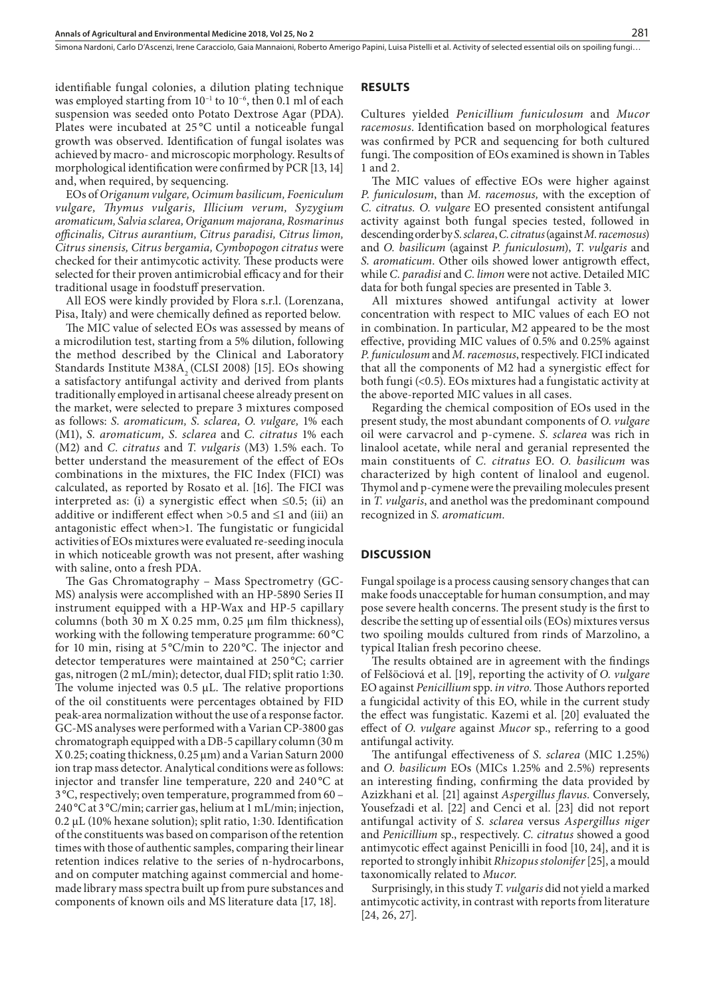Simona Nardoni, Carlo D'Ascenzi, Irene Caracciolo, Gaia Mannaioni, Roberto Amerigo Papini, Luisa Pistelli et al. Activity of selected essential oils on spoiling fungi…

identifiable fungal colonies, a dilution plating technique was employed starting from  $10^{-1}$  to  $10^{-6}$ , then 0.1 ml of each suspension was seeded onto Potato Dextrose Agar (PDA). Plates were incubated at 25 °C until a noticeable fungal growth was observed. Identification of fungal isolates was achieved by macro- and microscopic morphology. Results of morphological identification were confirmed by PCR [13, 14] and, when required, by sequencing.

EOs of *Origanum vulgare, Ocimum basilicum, Foeniculum vulgare, Thymus vulgaris, Illicium verum, Syzygium aromaticum, Salvia sclarea, Origanum majorana, Rosmarinus officinalis, Citrus aurantium, Citrus paradisi, Citrus limon, Citrus sinensis, Citrus bergamia, Cymbopogon citratus* were checked for their antimycotic activity*.* These products were selected for their proven antimicrobial efficacy and for their traditional usage in foodstuff preservation.

All EOS were kindly provided by Flora s.r.l. (Lorenzana, Pisa, Italy) and were chemically defined as reported below.

The MIC value of selected EOs was assessed by means of a microdilution test, starting from a 5% dilution, following the method described by the Clinical and Laboratory Standards Institute M38A<sub>2</sub> (CLSI 2008) [15]. EOs showing a satisfactory antifungal activity and derived from plants traditionally employed in artisanal cheese already present on the market, were selected to prepare 3 mixtures composed as follows: *S. aromaticum, S. sclarea, O. vulgare,* 1% each (M1), *S. aromaticum, S. sclarea* and *C. citratus* 1% each (M2) and *C. citratus* and *T. vulgaris* (M3) 1.5% each. To better understand the measurement of the effect of EOs combinations in the mixtures, the FIC Index (FICI) was calculated, as reported by Rosato et al. [16]. The FICI was interpreted as: (i) a synergistic effect when ≤0.5; (ii) an additive or indifferent effect when  $>0.5$  and  $\leq 1$  and (iii) an antagonistic effect when>1. The fungistatic or fungicidal activities of EOs mixtures were evaluated re-seeding inocula in which noticeable growth was not present, after washing with saline, onto a fresh PDA.

The Gas Chromatography – Mass Spectrometry (GC-MS) analysis were accomplished with an HP-5890 Series II instrument equipped with a HP-Wax and HP-5 capillary columns (both 30 m X 0.25 mm, 0.25  $\mu$ m film thickness), working with the following temperature programme: 60 °C for 10 min, rising at 5 °C/min to 220 °C. The injector and detector temperatures were maintained at 250 °C; carrier gas, nitrogen (2 mL/min); detector, dual FID; split ratio 1:30. The volume injected was 0.5 µL. The relative proportions of the oil constituents were percentages obtained by FID peak-area normalization without the use of a response factor. GC-MS analyses were performed with a Varian CP-3800 gas chromatograph equipped with a DB-5 capillary column (30 m X 0.25; coating thickness, 0.25 μm) and a Varian Saturn 2000 ion trap mass detector. Analytical conditions were as follows: injector and transfer line temperature, 220 and 240 °C at 3 °C, respectively; oven temperature, programmed from 60 – 240°C at 3°C/min; carrier gas, helium at 1 mL/min; injection, 0.2 μL (10% hexane solution); split ratio, 1:30. Identification of the constituents was based on comparison of the retention times with those of authentic samples, comparing their linear retention indices relative to the series of n-hydrocarbons, and on computer matching against commercial and homemade library mass spectra built up from pure substances and components of known oils and MS literature data [17, 18].

#### **RESULTS**

Cultures yielded *Penicillium funiculosum* and *Mucor racemosus*. Identification based on morphological features was confirmed by PCR and sequencing for both cultured fungi. The composition of EOs examined is shown in Tables 1 and 2.

The MIC values of effective EOs were higher against *P. funiculosum*, than *M. racemosus,* with the exception of *C. citratus. O. vulgare* EO presented consistent antifungal activity against both fungal species tested, followed in descending order by *S. sclarea*, *C.citratus* (against *M. racemosus*) and *O. basilicum* (against *P. funiculosum*), *T. vulgaris* and *S. aromaticum*. Other oils showed lower antigrowth effect, while *C. paradisi* and *C. limon* were not active. Detailed MIC data for both fungal species are presented in Table 3.

All mixtures showed antifungal activity at lower concentration with respect to MIC values of each EO not in combination. In particular, M2 appeared to be the most effective, providing MIC values of 0.5% and 0.25% against *P. funiculosum* and *M. racemosus*, respectively. FICI indicated that all the components of M2 had a synergistic effect for both fungi (<0.5). EOs mixtures had a fungistatic activity at the above-reported MIC values in all cases.

Regarding the chemical composition of EOs used in the present study, the most abundant components of *O. vulgare* oil were carvacrol and p-cymene. *S. sclarea* was rich in linalool acetate, while neral and geranial represented the main constituents of *C. citratus* EO. *O. basilicum* was characterized by high content of linalool and eugenol. Thymol and p-cymene were the prevailing molecules present in *T. vulgaris*, and anethol was the predominant compound recognized in *S. aromaticum.*

#### **DISCUSSION**

Fungal spoilage is a process causing sensory changes that can make foods unacceptable for human consumption, and may pose severe health concerns. The present study is the first to describe the setting up of essential oils (EOs) mixtures versus two spoiling moulds cultured from rinds of Marzolino, a typical Italian fresh pecorino cheese.

The results obtained are in agreement with the findings of Felšöciová et al. [19], reporting the activity of *O. vulgare* EO against *Penicillium* spp. *in vitro.* Those Authors reported a fungicidal activity of this EO, while in the current study the effect was fungistatic. Kazemi et al. [20] evaluated the effect of *O. vulgare* against *Mucor* sp., referring to a good antifungal activity.

The antifungal effectiveness of *S. sclarea* (MIC 1.25%) and *O. basilicum* EOs (MICs 1.25% and 2.5%) represents an interesting finding, confirming the data provided by Azizkhani et al*.* [21] against *Aspergillus flavus.* Conversely, Yousefzadi et al. [22] and Cenci et al. [23] did not report antifungal activity of *S. sclarea* versus *Aspergillus niger*  and *Penicillium* sp., respectively. *C. citratus* showed a good antimycotic effect against Penicilli in food [10, 24], and it is reported to strongly inhibit *Rhizopus stolonifer* [25], a mould taxonomically related to *Mucor*.

Surprisingly, in this study *T. vulgaris* did not yield a marked antimycotic activity, in contrast with reports from literature [24, 26, 27].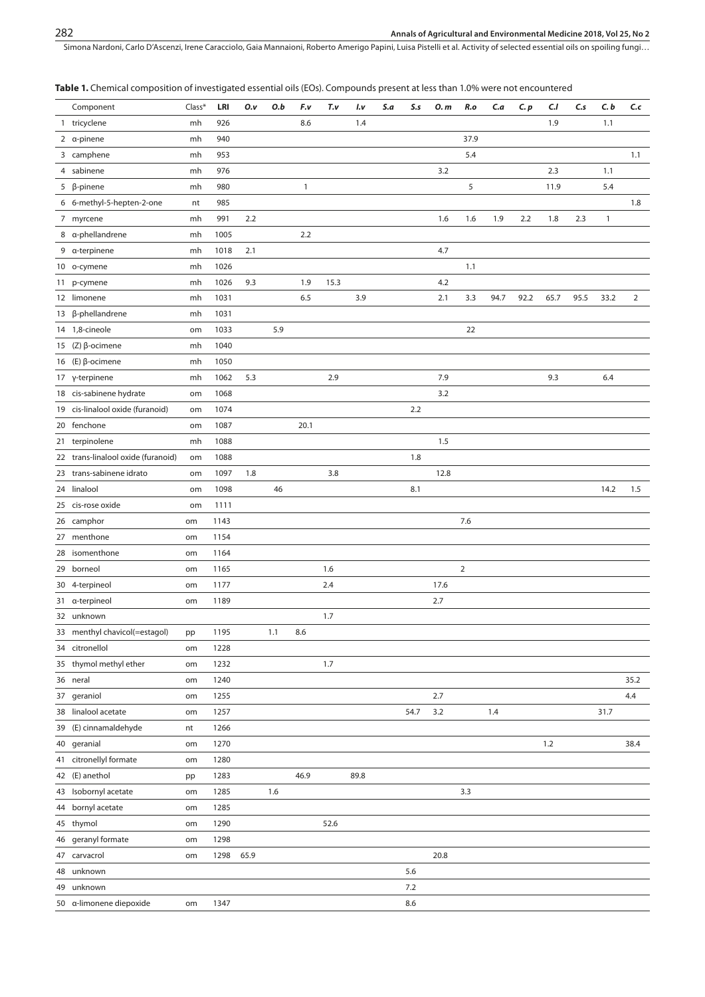Simona Nardoni, Carlo D'Ascenzi, Irene Caracciolo, Gaia Mannaioni, Roberto Amerigo Papini, Luisa Pistelli et al. Activity of selected essential oils on spoiling fungi…

**Table 1.** Chemical composition of investigated essential oils (EOs). Compounds present at less than 1.0% were not encountered

|    | Component                          | $Class*$ | LRI  | 0.v  | O.b | F.v          | T.v  | l.v  | S.a | S.s  | O. m | R.o            | C.a  | C. p | C.I  | C.s  | C.b          | C.c            |
|----|------------------------------------|----------|------|------|-----|--------------|------|------|-----|------|------|----------------|------|------|------|------|--------------|----------------|
|    | 1 tricyclene                       | mh       | 926  |      |     | 8.6          |      | 1.4  |     |      |      |                |      |      | 1.9  |      | 1.1          |                |
|    | 2 a-pinene                         | mh       | 940  |      |     |              |      |      |     |      |      | 37.9           |      |      |      |      |              |                |
|    | 3 camphene                         | mh       | 953  |      |     |              |      |      |     |      |      | 5.4            |      |      |      |      |              | 1.1            |
|    | 4 sabinene                         | mh       | 976  |      |     |              |      |      |     |      | 3.2  |                |      |      | 2.3  |      | 1.1          |                |
|    | 5 $β$ -pinene                      | mh       | 980  |      |     | $\mathbf{1}$ |      |      |     |      |      | 5              |      |      | 11.9 |      | 5.4          |                |
|    | 6 6-methyl-5-hepten-2-one          | nt       | 985  |      |     |              |      |      |     |      |      |                |      |      |      |      |              | 1.8            |
|    | 7 myrcene                          | mh       | 991  | 2.2  |     |              |      |      |     |      | 1.6  | 1.6            | 1.9  | 2.2  | 1.8  | 2.3  | $\mathbf{1}$ |                |
|    | 8 a-phellandrene                   | mh       | 1005 |      |     | 2.2          |      |      |     |      |      |                |      |      |      |      |              |                |
|    | 9 a-terpinene                      | mh       | 1018 | 2.1  |     |              |      |      |     |      | 4.7  |                |      |      |      |      |              |                |
|    | 10 o-cymene                        | mh       | 1026 |      |     |              |      |      |     |      |      | 1.1            |      |      |      |      |              |                |
| 11 | p-cymene                           | mh       | 1026 | 9.3  |     | 1.9          | 15.3 |      |     |      | 4.2  |                |      |      |      |      |              |                |
|    | 12 limonene                        | mh       | 1031 |      |     | 6.5          |      | 3.9  |     |      | 2.1  | 3.3            | 94.7 | 92.2 | 65.7 | 95.5 | 33.2         | $\overline{2}$ |
| 13 | β-phellandrene                     | mh       | 1031 |      |     |              |      |      |     |      |      |                |      |      |      |      |              |                |
|    | 14 1,8-cineole                     | om       | 1033 |      | 5.9 |              |      |      |     |      |      | 22             |      |      |      |      |              |                |
|    | 15 (Z) $\beta$ -ocimene            | mh       | 1040 |      |     |              |      |      |     |      |      |                |      |      |      |      |              |                |
|    | 16 (E) $\beta$ -ocimene            | mh       | 1050 |      |     |              |      |      |     |      |      |                |      |      |      |      |              |                |
|    | 17 γ-terpinene                     | mh       | 1062 | 5.3  |     |              | 2.9  |      |     |      | 7.9  |                |      |      | 9.3  |      | 6.4          |                |
|    | 18 cis-sabinene hydrate            | om       | 1068 |      |     |              |      |      |     |      | 3.2  |                |      |      |      |      |              |                |
| 19 | cis-linalool oxide (furanoid)      | om       | 1074 |      |     |              |      |      |     | 2.2  |      |                |      |      |      |      |              |                |
| 20 | fenchone                           | om       | 1087 |      |     | 20.1         |      |      |     |      |      |                |      |      |      |      |              |                |
|    | 21 terpinolene                     | mh       | 1088 |      |     |              |      |      |     |      | 1.5  |                |      |      |      |      |              |                |
|    | 22 trans-linalool oxide (furanoid) | om       | 1088 |      |     |              |      |      |     | 1.8  |      |                |      |      |      |      |              |                |
|    | 23 trans-sabinene idrato           | om       | 1097 | 1.8  |     |              | 3.8  |      |     |      | 12.8 |                |      |      |      |      |              |                |
| 24 | linalool                           | om       | 1098 |      | 46  |              |      |      |     | 8.1  |      |                |      |      |      |      | 14.2         | 1.5            |
| 25 | cis-rose oxide                     | om       | 1111 |      |     |              |      |      |     |      |      |                |      |      |      |      |              |                |
|    | 26 camphor                         | om       | 1143 |      |     |              |      |      |     |      |      | 7.6            |      |      |      |      |              |                |
|    | 27 menthone                        | om       | 1154 |      |     |              |      |      |     |      |      |                |      |      |      |      |              |                |
|    | 28 isomenthone                     | om       | 1164 |      |     |              |      |      |     |      |      |                |      |      |      |      |              |                |
| 29 | borneol                            | om       | 1165 |      |     |              | 1.6  |      |     |      |      | $\overline{2}$ |      |      |      |      |              |                |
|    | 30 4-terpineol                     | om       | 1177 |      |     |              | 2.4  |      |     |      | 17.6 |                |      |      |      |      |              |                |
|    | 31 a-terpineol                     | om       | 1189 |      |     |              |      |      |     |      | 2.7  |                |      |      |      |      |              |                |
|    | 32 unknown                         |          |      |      |     |              | 1.7  |      |     |      |      |                |      |      |      |      |              |                |
|    | 33 menthyl chavicol(=estagol)      | pp       | 1195 |      | 1.1 | 8.6          |      |      |     |      |      |                |      |      |      |      |              |                |
|    | 34 citronellol                     | om       | 1228 |      |     |              |      |      |     |      |      |                |      |      |      |      |              |                |
|    | 35 thymol methyl ether             | om       | 1232 |      |     |              | 1.7  |      |     |      |      |                |      |      |      |      |              |                |
|    | 36 neral                           | om       | 1240 |      |     |              |      |      |     |      |      |                |      |      |      |      |              | 35.2           |
|    | 37 geraniol                        | om       | 1255 |      |     |              |      |      |     |      | 2.7  |                |      |      |      |      |              | 4.4            |
| 38 | linalool acetate                   | om       | 1257 |      |     |              |      |      |     | 54.7 | 3.2  |                | 1.4  |      |      |      | 31.7         |                |
| 39 | (E) cinnamaldehyde                 | nt       | 1266 |      |     |              |      |      |     |      |      |                |      |      |      |      |              |                |
| 40 | geranial                           | om       | 1270 |      |     |              |      |      |     |      |      |                |      |      | 1.2  |      |              | 38.4           |
| 41 | citronellyl formate                | om       | 1280 |      |     |              |      |      |     |      |      |                |      |      |      |      |              |                |
|    | 42 (E) anethol                     | pp       | 1283 |      |     | 46.9         |      | 89.8 |     |      |      |                |      |      |      |      |              |                |
|    | 43 Isobornyl acetate               | om       | 1285 |      | 1.6 |              |      |      |     |      |      | 3.3            |      |      |      |      |              |                |
| 44 | bornyl acetate                     | om       | 1285 |      |     |              |      |      |     |      |      |                |      |      |      |      |              |                |
|    | 45 thymol                          | om       | 1290 |      |     |              | 52.6 |      |     |      |      |                |      |      |      |      |              |                |
| 46 | geranyl formate                    | om       | 1298 |      |     |              |      |      |     |      |      |                |      |      |      |      |              |                |
|    | 47 carvacrol                       | om       | 1298 | 65.9 |     |              |      |      |     |      | 20.8 |                |      |      |      |      |              |                |
| 48 | unknown                            |          |      |      |     |              |      |      |     | 5.6  |      |                |      |      |      |      |              |                |
| 49 | unknown                            |          |      |      |     |              |      |      |     | 7.2  |      |                |      |      |      |      |              |                |
|    | 50 α-limonene diepoxide            | om       | 1347 |      |     |              |      |      |     | 8.6  |      |                |      |      |      |      |              |                |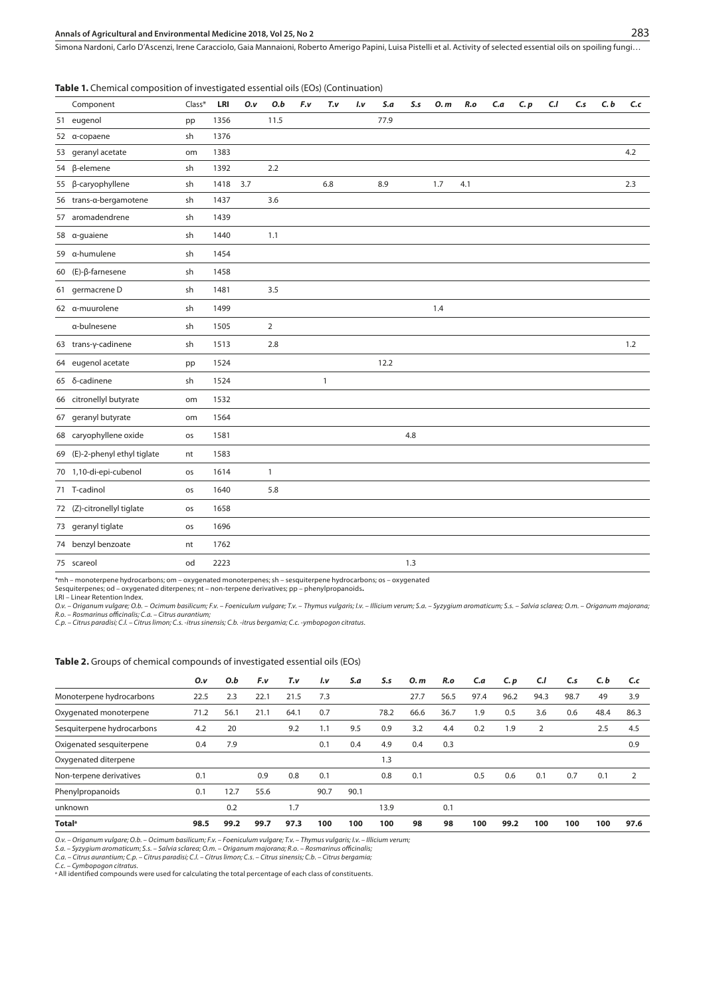# **Annals of Agricultural and Environmental Medicine 2018, Vol 25, No 2**

Simona Nardoni, Carlo D'Ascenzi, Irene Caracciolo, Gaia Mannaioni, Roberto Amerigo Papini, Luisa Pistelli et al. Activity of selected essential oils on spoiling fungi…

#### **Table 1.** Chemical composition of investigated essential oils (EOs) (Continuation)

| Component   | $Class*$                                                                                                                                                                                                                                                                                                                                                                                                                                                                                                                                   | LRI  | O.v | O.b            | F.v | T.v          | l.v | S.a  | S.s | O. m | R.o | C.a | C. p | C.I | $C_{.5}$ | C.b | C.c |
|-------------|--------------------------------------------------------------------------------------------------------------------------------------------------------------------------------------------------------------------------------------------------------------------------------------------------------------------------------------------------------------------------------------------------------------------------------------------------------------------------------------------------------------------------------------------|------|-----|----------------|-----|--------------|-----|------|-----|------|-----|-----|------|-----|----------|-----|-----|
|             | pp                                                                                                                                                                                                                                                                                                                                                                                                                                                                                                                                         | 1356 |     | 11.5           |     |              |     | 77.9 |     |      |     |     |      |     |          |     |     |
|             | sh                                                                                                                                                                                                                                                                                                                                                                                                                                                                                                                                         | 1376 |     |                |     |              |     |      |     |      |     |     |      |     |          |     |     |
|             | om                                                                                                                                                                                                                                                                                                                                                                                                                                                                                                                                         | 1383 |     |                |     |              |     |      |     |      |     |     |      |     |          |     | 4.2 |
|             | sh                                                                                                                                                                                                                                                                                                                                                                                                                                                                                                                                         | 1392 |     | 2.2            |     |              |     |      |     |      |     |     |      |     |          |     |     |
|             | sh                                                                                                                                                                                                                                                                                                                                                                                                                                                                                                                                         |      |     |                |     | 6.8          |     | 8.9  |     | 1.7  | 4.1 |     |      |     |          |     | 2.3 |
|             | sh                                                                                                                                                                                                                                                                                                                                                                                                                                                                                                                                         | 1437 |     | 3.6            |     |              |     |      |     |      |     |     |      |     |          |     |     |
|             | sh                                                                                                                                                                                                                                                                                                                                                                                                                                                                                                                                         | 1439 |     |                |     |              |     |      |     |      |     |     |      |     |          |     |     |
|             | sh                                                                                                                                                                                                                                                                                                                                                                                                                                                                                                                                         | 1440 |     | 1.1            |     |              |     |      |     |      |     |     |      |     |          |     |     |
|             | sh                                                                                                                                                                                                                                                                                                                                                                                                                                                                                                                                         | 1454 |     |                |     |              |     |      |     |      |     |     |      |     |          |     |     |
|             | sh                                                                                                                                                                                                                                                                                                                                                                                                                                                                                                                                         | 1458 |     |                |     |              |     |      |     |      |     |     |      |     |          |     |     |
|             | sh                                                                                                                                                                                                                                                                                                                                                                                                                                                                                                                                         | 1481 |     | 3.5            |     |              |     |      |     |      |     |     |      |     |          |     |     |
|             | sh                                                                                                                                                                                                                                                                                                                                                                                                                                                                                                                                         | 1499 |     |                |     |              |     |      |     | 1.4  |     |     |      |     |          |     |     |
| a-bulnesene | sh                                                                                                                                                                                                                                                                                                                                                                                                                                                                                                                                         | 1505 |     | $\overline{2}$ |     |              |     |      |     |      |     |     |      |     |          |     |     |
|             | sh                                                                                                                                                                                                                                                                                                                                                                                                                                                                                                                                         | 1513 |     | 2.8            |     |              |     |      |     |      |     |     |      |     |          |     | 1.2 |
|             | pp                                                                                                                                                                                                                                                                                                                                                                                                                                                                                                                                         | 1524 |     |                |     |              |     | 12.2 |     |      |     |     |      |     |          |     |     |
|             | sh                                                                                                                                                                                                                                                                                                                                                                                                                                                                                                                                         | 1524 |     |                |     | $\mathbf{1}$ |     |      |     |      |     |     |      |     |          |     |     |
|             | om                                                                                                                                                                                                                                                                                                                                                                                                                                                                                                                                         | 1532 |     |                |     |              |     |      |     |      |     |     |      |     |          |     |     |
|             | om                                                                                                                                                                                                                                                                                                                                                                                                                                                                                                                                         | 1564 |     |                |     |              |     |      |     |      |     |     |      |     |          |     |     |
|             | <b>OS</b>                                                                                                                                                                                                                                                                                                                                                                                                                                                                                                                                  | 1581 |     |                |     |              |     |      | 4.8 |      |     |     |      |     |          |     |     |
|             | nt                                                                                                                                                                                                                                                                                                                                                                                                                                                                                                                                         | 1583 |     |                |     |              |     |      |     |      |     |     |      |     |          |     |     |
|             | <b>OS</b>                                                                                                                                                                                                                                                                                                                                                                                                                                                                                                                                  | 1614 |     | $\mathbf{1}$   |     |              |     |      |     |      |     |     |      |     |          |     |     |
|             | <b>OS</b>                                                                                                                                                                                                                                                                                                                                                                                                                                                                                                                                  | 1640 |     | 5.8            |     |              |     |      |     |      |     |     |      |     |          |     |     |
|             | <b>OS</b>                                                                                                                                                                                                                                                                                                                                                                                                                                                                                                                                  | 1658 |     |                |     |              |     |      |     |      |     |     |      |     |          |     |     |
|             | <b>OS</b>                                                                                                                                                                                                                                                                                                                                                                                                                                                                                                                                  | 1696 |     |                |     |              |     |      |     |      |     |     |      |     |          |     |     |
|             | nt                                                                                                                                                                                                                                                                                                                                                                                                                                                                                                                                         | 1762 |     |                |     |              |     |      |     |      |     |     |      |     |          |     |     |
|             | od                                                                                                                                                                                                                                                                                                                                                                                                                                                                                                                                         | 2223 |     |                |     |              |     |      | 1.3 |      |     |     |      |     |          |     |     |
|             | 51 eugenol<br>52 a-copaene<br>53 geranyl acetate<br>β-elemene<br>55 ß-caryophyllene<br>56 trans-α-bergamotene<br>57 aromadendrene<br>58 a-guaiene<br>59 a-humulene<br>60 (E)-β-farnesene<br>61 germacrene D<br>62 a-muurolene<br>63 trans-y-cadinene<br>64 eugenol acetate<br>65 δ-cadinene<br>66 citronellyl butyrate<br>67 geranyl butyrate<br>68 caryophyllene oxide<br>69 (E)-2-phenyl ethyl tiglate<br>70 1,10-di-epi-cubenol<br>71 T-cadinol<br>72 (Z)-citronellyl tiglate<br>73 geranyl tiglate<br>74 benzyl benzoate<br>75 scareol |      |     | 1418 3.7       |     |              |     |      |     |      |     |     |      |     |          |     |     |

\*mh – monoterpene hydrocarbons; om – oxygenated monoterpenes; sh – sesquiterpene hydrocarbons; os – oxygenated Sesquiterpenes; od – oxygenated diterpenes; nt – non-terpene derivatives; pp – phenylpropanoids**.**

LRI – Linear Retention Index.<br>O.v. – Origanum vulgare; O.b. – Ocimum basilicum; F.v. – Foeniculum vulgare; T.v. – Thymus vulgaris; I.v. – Illicium verum; S.a. – Syzygium aromaticum; S.s. – Salvia sclarea; O.m. – Origanum m *R.o*. – *Rosmarinus officinalis; C.a. – Citrus aurantium;*

*C.p. – Citrus paradisi; C.l. – Citrus limon; C.s. -itrus sinensis; C.b. -itrus bergamia; C.c. -ymbopogon citratus.*

## **Table 2.** Groups of chemical compounds of investigated essential oils (EOs)

|                            | O.v  | O.b  | F.v  | T.v  | l.v  | S.a  | S.s  | O, m | R.o  | C.a  | C. p | C.I  | $C_{\cdot}S$ | C.b  | C.c  |
|----------------------------|------|------|------|------|------|------|------|------|------|------|------|------|--------------|------|------|
| Monoterpene hydrocarbons   | 22.5 | 2.3  | 22.1 | 21.5 | 7.3  |      |      | 27.7 | 56.5 | 97.4 | 96.2 | 94.3 | 98.7         | 49   | 3.9  |
| Oxygenated monoterpene     | 71.2 | 56.1 | 21.1 | 64.1 | 0.7  |      | 78.2 | 66.6 | 36.7 | 1.9  | 0.5  | 3.6  | 0.6          | 48.4 | 86.3 |
| Sesquiterpene hydrocarbons | 4.2  | 20   |      | 9.2  | 1.1  | 9.5  | 0.9  | 3.2  | 4.4  | 0.2  | 1.9  | 2    |              | 2.5  | 4.5  |
| Oxigenated sesquiterpene   | 0.4  | 7.9  |      |      | 0.1  | 0.4  | 4.9  | 0.4  | 0.3  |      |      |      |              |      | 0.9  |
| Oxygenated diterpene       |      |      |      |      |      |      | 1.3  |      |      |      |      |      |              |      |      |
| Non-terpene derivatives    | 0.1  |      | 0.9  | 0.8  | 0.1  |      | 0.8  | 0.1  |      | 0.5  | 0.6  | 0.1  | 0.7          | 0.1  | 2    |
| Phenylpropanoids           | 0.1  | 12.7 | 55.6 |      | 90.7 | 90.1 |      |      |      |      |      |      |              |      |      |
| unknown                    |      | 0.2  |      | 1.7  |      |      | 13.9 |      | 0.1  |      |      |      |              |      |      |
| <b>Total</b> <sup>a</sup>  | 98.5 | 99.2 | 99.7 | 97.3 | 100  | 100  | 100  | 98   | 98   | 100  | 99.2 | 100  | 100          | 100  | 97.6 |

O.v. – Origanum vulgare; O.b. – Ocimum basilicum; F.v. – Foeniculum vulgare; T.v. – Thymus vulgaris; I.v. – Illicium verum,<br>S.a. – Syzygium aromaticum; S.s. – Salvia sclarea; O.m. – Origanum majorana; R.o. – Rosmarinus off

*C.a. – Citrus aurantium; C.p. – Citrus paradisi; C.l. – Citrus limon; C.s. – Citrus sinensis; C.b. – Citrus bergamia;*

*C.c. – Cymbopogon citratus.*<br>ª All identified compounds were used for calculating the total percentage of each class of constituents.